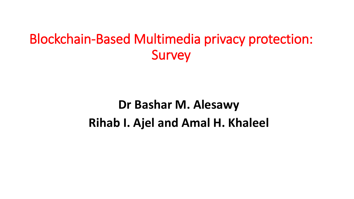# Blockchain-Based Multimedia privacy protection: Survey

# **Dr Bashar M. Alesawy Rihab I. Ajel and Amal H. Khaleel**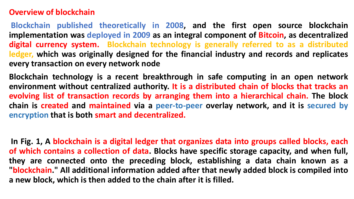#### **Overview of blockchain**

**Blockchain published theoretically in 2008, and the first open source blockchain implementation was deployed in 2009 as an integral component of Bitcoin, as decentralized digital currency system. Blockchain technology is generally referred to as a distributed ledger, which was originally designed for the financial industry and records and replicates every transaction on every network node**

**Blockchain technology is a recent breakthrough in safe computing in an open network environment without centralized authority. It is a distributed chain of blocks that tracks an evolving list of transaction records by arranging them into a hierarchical chain. The block chain is created and maintained via a peer-to-peer overlay network, and it is secured by encryption that is both smart and decentralized.**

**In Fig. 1, A blockchain is a digital ledger that organizes data into groups called blocks, each of which contains a collection of data. Blocks have specific storage capacity, and when full, they are connected onto the preceding block, establishing a data chain known as a "blockchain." All additional information added after that newly added block is compiled into a new block, which is then added to the chain after it is filled.**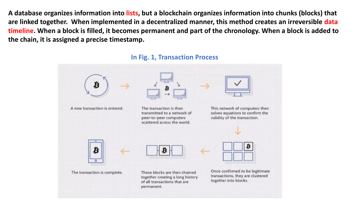**A database organizes information into lists, but a blockchain organizes information into chunks (blocks) that are linked together. When implemented in a decentralized manner, this method creates an irreversible data timeline. When a block is filled, it becomes permanent and part of the chronology. When a block is added to the chain, it is assigned a precise timestamp.**



#### **In Fig. 1, Transaction Process**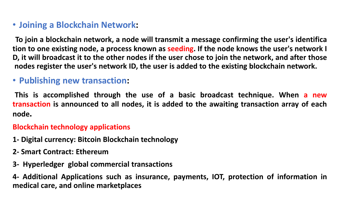#### • **Joining a Blockchain Network:**

**To join a blockchain network, a node will transmit a message confirming the user's identifica tion to one existing node, a process known as seeding. If the node knows the user's network I** D, it will broadcast it to the other nodes if the user chose to join the network, and after those **nodes register the user's network ID, the user is added to the existing blockchain network.**

#### • **Publishing new transaction:**

**This is accomplished through the use of a basic broadcast technique. When a new transaction is announced to all nodes, it is added to the awaiting transaction array of each node.**

#### **Blockchain technology applications**

- **1- Digital currency: Bitcoin Blockchain technology**
- **2- Smart Contract: Ethereum**
- **3- Hyperledger global commercial transactions**

**4- Additional Applications such as insurance, payments, IOT, protection of information in medical care, and online marketplaces**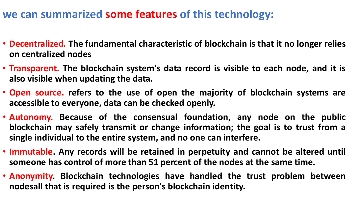### **we can summarized some features of this technology:**

- **Decentralized. The fundamental characteristic of blockchain is that it no longer relies on centralized nodes**
- **Transparent. The blockchain system's data record is visible to each node, and it is also visible when updating the data.**
- **Open source. refers to the use of open the majority of blockchain systems are accessible to everyone, data can be checked openly.**
- **Autonomy. Because of the consensual foundation, any node on the public blockchain may safely transmit or change information; the goal is to trust from a single individual to the entire system, and no one can interfere.**
- **Immutable. Any records will be retained in perpetuity and cannot be altered until someone has control of more than 51 percent of the nodes at the same time.**
- **Anonymity. Blockchain technologies have handled the trust problem between nodesall that is required is the person's blockchain identity.**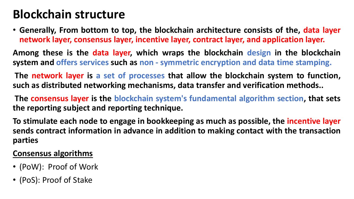## **Blockchain structure**

• **Generally, From bottom to top, the blockchain architecture consists of the, data layer network layer, consensus layer, incentive layer, contract layer, and application layer.**

**Among these is the data layer, which wraps the blockchain design in the blockchain system and offers services such as non - symmetric encryption and data time stamping.**

**The network layer is a set of processes that allow the blockchain system to function, such as distributed networking mechanisms, data transfer and verification methods..**

**The consensus layer is the blockchain system's fundamental algorithm section, that sets the reporting subject and reporting technique.**

**To stimulate each node to engage in bookkeeping as much as possible, the incentive layer sends contract information in advance in addition to making contact with the transaction parties**

#### **Consensus algorithms**

- (PoW): Proof of Work
- (PoS): Proof of Stake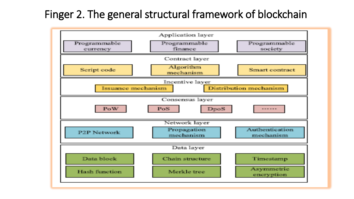### Finger 2. The general structural framework of blockchain

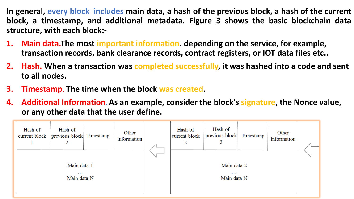**In general, every block includes main data, a hash of the previous block, a hash of the current block, a timestamp, and additional metadata. Figure 3 shows the basic blockchain data structure, with each block:-**

- **1. Main data.The most important information. depending on the service, for example, transaction records, bank clearance records, contract registers, or IOT data files etc..**
- **2. Hash. When a transaction was completed successfully, it was hashed into a code and sent to all nodes.**
- **3. Timestamp. The time when the block was created.**
- **4. Additional Information. As an example, consider the block's signature, the Nonce value, or any other data that the user define.**

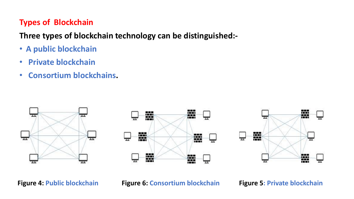#### **Types of Blockchain**

**Three types of blockchain technology can be distinguished:-**

- **A public blockchain**
- **Private blockchain**
- **Consortium blockchains.**







**Figure 4: Public blockchain Figure 6: Consortium blockchain Figure 5: Private blockchain**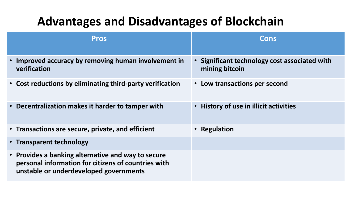## **Advantages and Disadvantages of Blockchain**

| <b>Pros</b>                                                                                                                                         | Cons                                                            |
|-----------------------------------------------------------------------------------------------------------------------------------------------------|-----------------------------------------------------------------|
| • Improved accuracy by removing human involvement in<br>verification                                                                                | • Significant technology cost associated with<br>mining bitcoin |
| • Cost reductions by eliminating third-party verification                                                                                           | • Low transactions per second                                   |
| • Decentralization makes it harder to tamper with                                                                                                   | • History of use in illicit activities                          |
| • Transactions are secure, private, and efficient                                                                                                   | • Regulation                                                    |
| • Transparent technology                                                                                                                            |                                                                 |
| • Provides a banking alternative and way to secure<br>personal information for citizens of countries with<br>unstable or underdeveloped governments |                                                                 |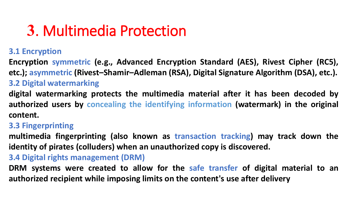# **3**. Multimedia Protection

#### **3.1 Encryption**

**Encryption symmetric (e.g., Advanced Encryption Standard (AES), Rivest Cipher (RC5), etc.); asymmetric (Rivest–Shamir–Adleman (RSA), Digital Signature Algorithm (DSA), etc.).**

#### **3.2 Digital watermarking**

**digital watermarking protects the multimedia material after it has been decoded by authorized users by concealing the identifying information (watermark) in the original content.**

#### **3.3 Fingerprinting**

**multimedia fingerprinting (also known as transaction tracking) may track down the identity of pirates (colluders) when an unauthorized copy is discovered.**

#### **3.4 Digital rights management (DRM)**

**DRM systems were created to allow for the safe transfer of digital material to an authorized recipient while imposing limits on the content's use after delivery**